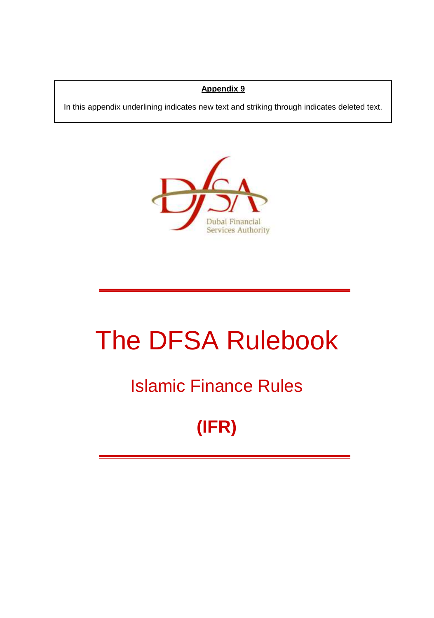### **Appendix 9**

In this appendix underlining indicates new text and striking through indicates deleted text.



# The DFSA Rulebook

### Islamic Finance Rules

## **(IFR)**